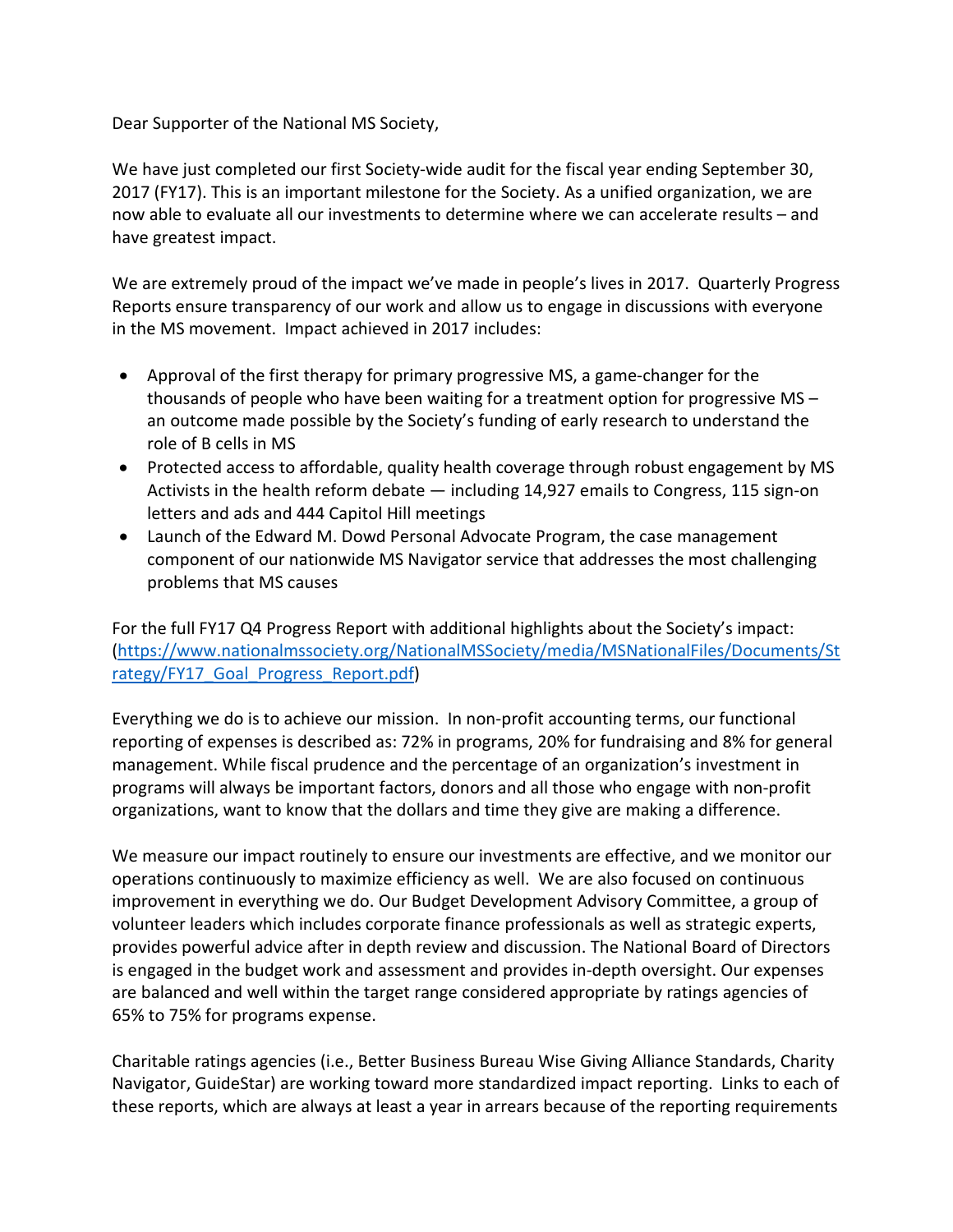Dear Supporter of the National MS Society,

We have just completed our first Society-wide audit for the fiscal year ending September 30, 2017 (FY17). This is an important milestone for the Society. As a unified organization, we are now able to evaluate all our investments to determine where we can accelerate results – and have greatest impact.

We are extremely proud of the impact we've made in people's lives in 2017. Quarterly Progress Reports ensure transparency of our work and allow us to engage in discussions with everyone in the MS movement. Impact achieved in 2017 includes:

- Approval of the first therapy for primary progressive MS, a game-changer for the thousands of people who have been waiting for a treatment option for progressive MS – an outcome made possible by the Society's funding of early research to understand the role of B cells in MS
- Protected access to affordable, quality health coverage through robust engagement by MS Activists in the health reform debate — including 14,927 emails to Congress, 115 sign-on letters and ads and 444 Capitol Hill meetings
- Launch of the Edward M. Dowd Personal Advocate Program, the case management component of our nationwide MS Navigator service that addresses the most challenging problems that MS causes

For the full FY17 Q4 Progress Report with additional highlights about the Society's impact: [\(https://www.nationalmssociety.org/NationalMSSociety/media/MSNationalFiles/Documents/St](https://www.nationalmssociety.org/NationalMSSociety/media/MSNationalFiles/Documents/Strategy/FY17_Goal_Progress_Report.pdf) rategy/FY17 Goal Progress Report.pdf)

Everything we do is to achieve our mission. In non-profit accounting terms, our functional reporting of expenses is described as: 72% in programs, 20% for fundraising and 8% for general management. While fiscal prudence and the percentage of an organization's investment in programs will always be important factors, donors and all those who engage with non-profit organizations, want to know that the dollars and time they give are making a difference.

We measure our impact routinely to ensure our investments are effective, and we monitor our operations continuously to maximize efficiency as well. We are also focused on continuous improvement in everything we do. Our Budget Development Advisory Committee, a group of volunteer leaders which includes corporate finance professionals as well as strategic experts, provides powerful advice after in depth review and discussion. The National Board of Directors is engaged in the budget work and assessment and provides in-depth oversight. Our expenses are balanced and well within the target range considered appropriate by ratings agencies of 65% to 75% for programs expense.

Charitable ratings agencies (i.e., Better Business Bureau Wise Giving Alliance Standards, Charity Navigator, GuideStar) are working toward more standardized impact reporting. Links to each of these reports, which are always at least a year in arrears because of the reporting requirements